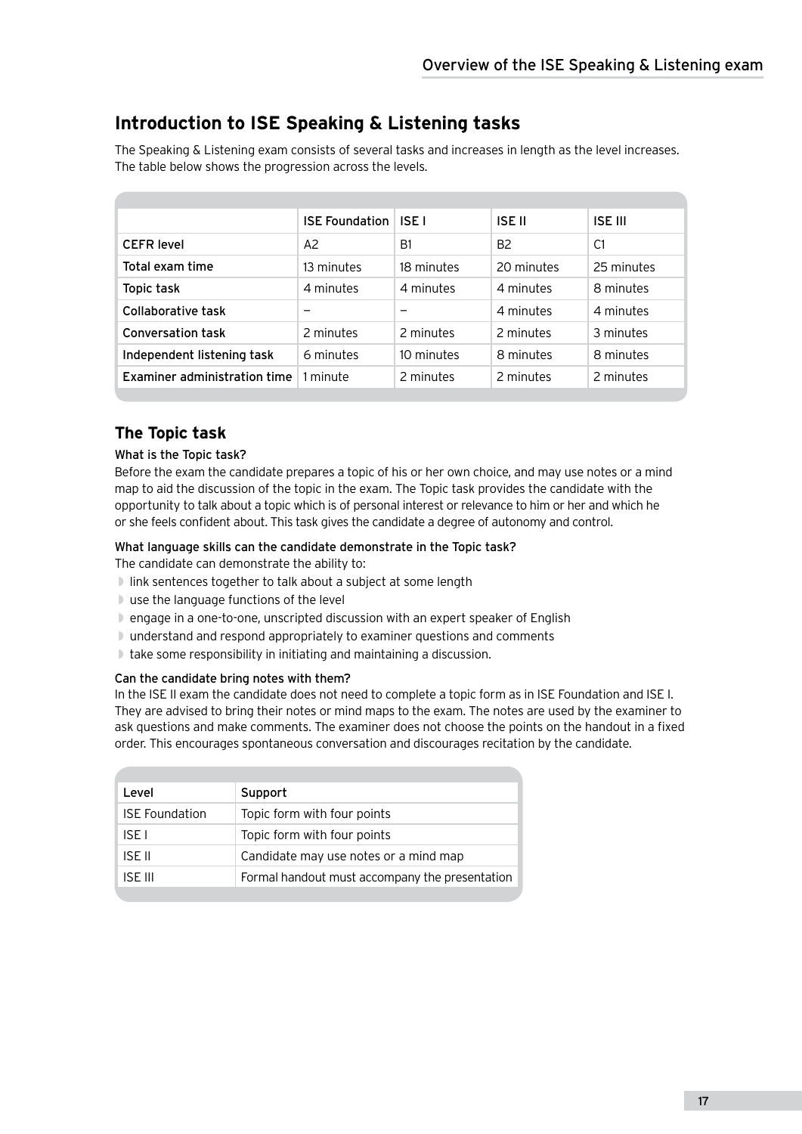# **Introduction to ISE Speaking & Listening tasks**

The Speaking & Listening exam consists of several tasks and increases in length as the level increases. The table below shows the progression across the levels.

|                              | <b>ISE Foundation</b> | <b>ISE I</b> | <b>ISE II</b>  | <b>ISE III</b> |
|------------------------------|-----------------------|--------------|----------------|----------------|
| <b>CEFR</b> level            | A <sub>2</sub>        | B1           | B <sub>2</sub> | C <sub>1</sub> |
| Total exam time              | 13 minutes            | 18 minutes   | 20 minutes     | 25 minutes     |
| Topic task                   | 4 minutes             | 4 minutes    | 4 minutes      | 8 minutes      |
| Collaborative task           |                       |              | 4 minutes      | 4 minutes      |
| <b>Conversation task</b>     | 2 minutes             | 2 minutes    | 2 minutes      | 3 minutes      |
| Independent listening task   | 6 minutes             | 10 minutes   | 8 minutes      | 8 minutes      |
| Examiner administration time | 1 minute              | 2 minutes    | 2 minutes      | 2 minutes      |

# **The Topic task**

### What is the Topic task?

Before the exam the candidate prepares a topic of his or her own choice, and may use notes or a mind map to aid the discussion of the topic in the exam. The Topic task provides the candidate with the opportunity to talk about a topic which is of personal interest or relevance to him or her and which he or she feels confident about. This task gives the candidate a degree of autonomy and control.

### What language skills can the candidate demonstrate in the Topic task?

The candidate can demonstrate the ability to:

- ◗ link sentences together to talk about a subject at some length
- ◗ use the language functions of the level
- ◗ engage in a one-to-one, unscripted discussion with an expert speaker of English
- ◗ understand and respond appropriately to examiner questions and comments
- ◗ take some responsibility in initiating and maintaining a discussion.

### Can the candidate bring notes with them?

In the ISE II exam the candidate does not need to complete a topic form as in ISE Foundation and ISE I. They are advised to bring their notes or mind maps to the exam. The notes are used by the examiner to ask questions and make comments. The examiner does not choose the points on the handout in a fixed order. This encourages spontaneous conversation and discourages recitation by the candidate.

| Level                 | Support                                        |  |  |
|-----------------------|------------------------------------------------|--|--|
| <b>ISE</b> Foundation | Topic form with four points                    |  |  |
| ISE I                 | Topic form with four points                    |  |  |
| ISE II                | Candidate may use notes or a mind map          |  |  |
| ISE III               | Formal handout must accompany the presentation |  |  |